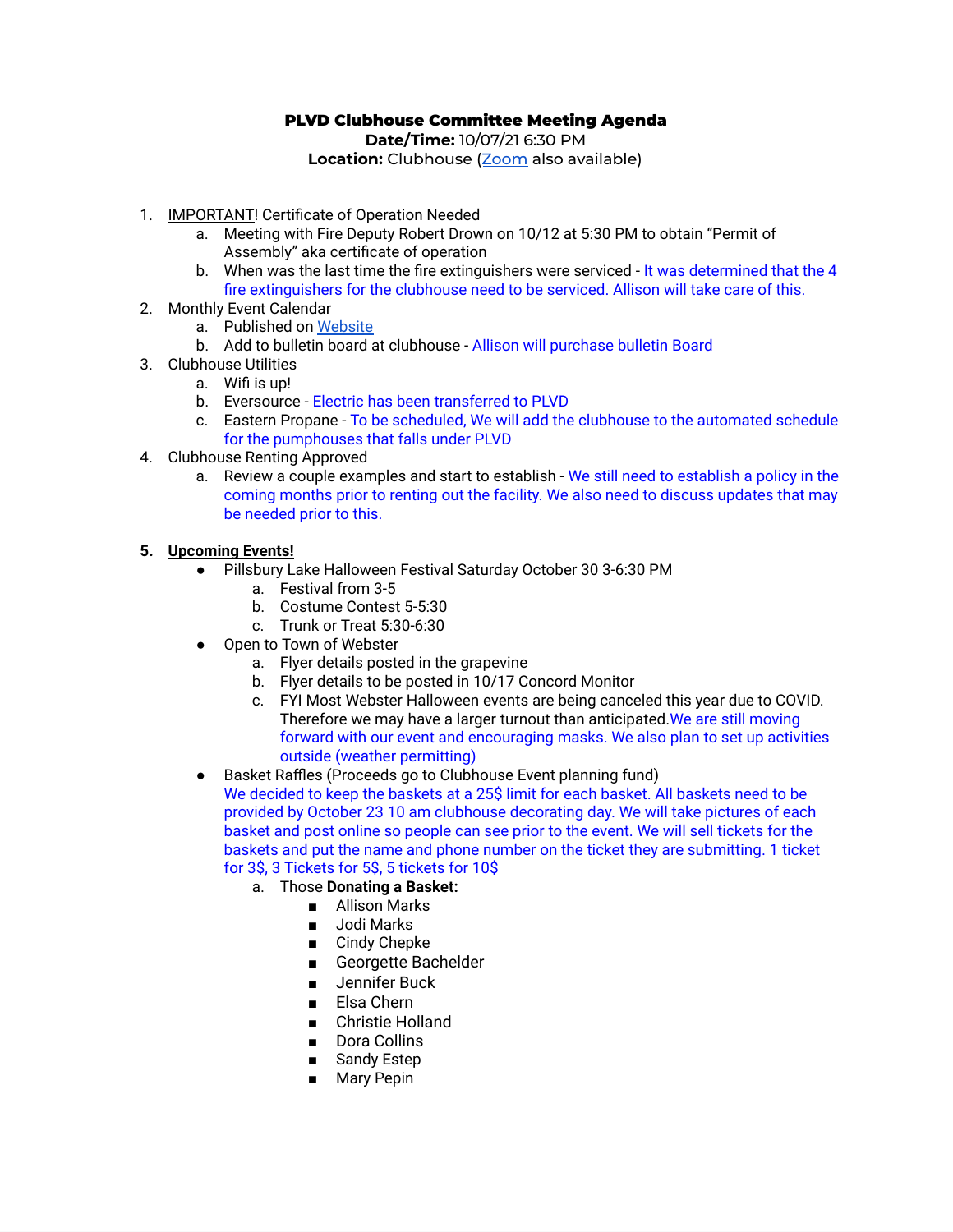# PLVD Clubhouse Committee Meeting Agenda

**Date/Time:** 10/07/21 6:30 PM **Location:** Clubhouse (**[Zoom](https://us02web.zoom.us/j/84385953254?pwd=UitsdS9KY3ZmVUZXa1BXUy9XRnJ5Zz09)** also available)

- 1. IMPORTANT! Certificate of Operation Needed
	- a. Meeting with Fire Deputy Robert Drown on 10/12 at 5:30 PM to obtain "Permit of Assembly" aka certificate of operation
	- b. When was the last time the fire extinguishers were serviced It was determined that the 4 fire extinguishers for the clubhouse need to be serviced. Allison will take care of this.
- 2. Monthly Event Calendar
	- a. Published on [Website](https://pillsburylakedistrict.com/clubhouse)
	- b. Add to bulletin board at clubhouse Allison will purchase bulletin Board
- 3. Clubhouse Utilities
	- a. Wifi is up!
	- b. Eversource Electric has been transferred to PLVD
	- c. Eastern Propane To be scheduled, We will add the clubhouse to the automated schedule for the pumphouses that falls under PLVD
- 4. Clubhouse Renting Approved
	- a. Review a couple examples and start to establish We still need to establish a policy in the coming months prior to renting out the facility. We also need to discuss updates that may be needed prior to this.

#### **5. Upcoming Events!**

- Pillsbury Lake Halloween Festival Saturday October 30 3-6:30 PM
	- a. Festival from 3-5
	- b. Costume Contest 5-5:30
	- c. Trunk or Treat 5:30-6:30
- Open to Town of Webster
	- a. Flyer details posted in the grapevine
	- b. Flyer details to be posted in 10/17 Concord Monitor
	- c. FYI Most Webster Halloween events are being canceled this year due to COVID. Therefore we may have a larger turnout than anticipated.We are still moving forward with our event and encouraging masks. We also plan to set up activities outside (weather permitting)
- Basket Raffles (Proceeds go to Clubhouse Event planning fund)

We decided to keep the baskets at a 25\$ limit for each basket. All baskets need to be provided by October 23 10 am clubhouse decorating day. We will take pictures of each basket and post online so people can see prior to the event. We will sell tickets for the baskets and put the name and phone number on the ticket they are submitting. 1 ticket for 3\$, 3 Tickets for 5\$, 5 tickets for 10\$

- a. Those **Donating a Basket:**
	- Allison Marks
		- Jodi Marks
		- Cindy Chepke
		- Georgette Bachelder
		- Jennifer Buck
		- Elsa Chern
		- Christie Holland
		- Dora Collins
		- Sandy Estep
		- Mary Pepin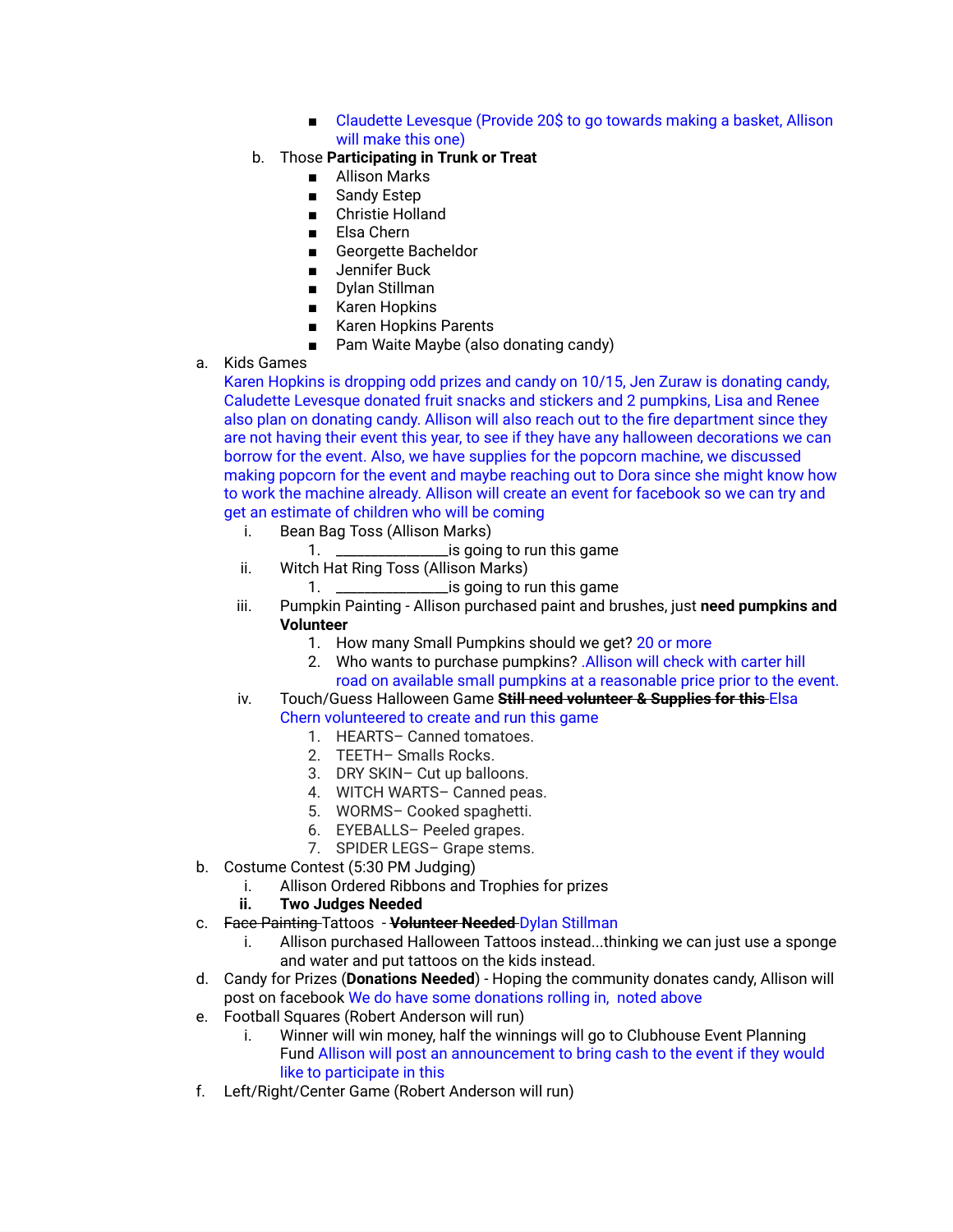- Claudette Levesque (Provide 20\$ to go towards making a basket, Allison will make this one)
- b. Those **Participating in Trunk or Treat**
	- Allison Marks
	- Sandy Estep
	- Christie Holland
	- Elsa Chern
	- Georgette Bacheldor
	- Jennifer Buck
	- Dylan Stillman
	- Karen Hopkins
	- Karen Hopkins Parents
	- Pam Waite Maybe (also donating candy)
- a. Kids Games

Karen Hopkins is dropping odd prizes and candy on 10/15, Jen Zuraw is donating candy, Caludette Levesque donated fruit snacks and stickers and 2 pumpkins, Lisa and Renee also plan on donating candy. Allison will also reach out to the fire department since they are not having their event this year, to see if they have any halloween decorations we can borrow for the event. Also, we have supplies for the popcorn machine, we discussed making popcorn for the event and maybe reaching out to Dora since she might know how to work the machine already. Allison will create an event for facebook so we can try and get an estimate of children who will be coming

- i. Bean Bag Toss (Allison Marks)
	- 1. \_\_\_\_\_\_\_\_\_\_\_\_\_\_\_\_is going to run this game
- ii. Witch Hat Ring Toss (Allison Marks)  $1$  is going to run this game
- iii. Pumpkin Painting Allison purchased paint and brushes, just **need pumpkins and Volunteer**
	- 1. How many Small Pumpkins should we get? 20 or more
	- 2. Who wants to purchase pumpkins? .Allison will check with carter hill road on available small pumpkins at a reasonable price prior to the event.
- iv. Touch/Guess Halloween Game **Still need volunteer & Supplies for this** Elsa

### Chern volunteered to create and run this game

- 1. HEARTS– Canned tomatoes.
- 2. TEETH– Smalls Rocks.
- 3. DRY SKIN– Cut up balloons.
- 4. WITCH WARTS– Canned peas.
- 5. WORMS– Cooked spaghetti.
- 6. EYEBALLS– Peeled grapes.
- 7. SPIDER LEGS– Grape stems.
- b. Costume Contest (5:30 PM Judging)
	- i. Allison Ordered Ribbons and Trophies for prizes
	- **ii. Two Judges Needed**
- c. Face Painting Tattoos **Volunteer Needed** Dylan Stillman
	- i. Allison purchased Halloween Tattoos instead...thinking we can just use a sponge and water and put tattoos on the kids instead.
- d. Candy for Prizes (**Donations Needed**) Hoping the community donates candy, Allison will post on facebook We do have some donations rolling in, noted above
- e. Football Squares (Robert Anderson will run)
	- i. Winner will win money, half the winnings will go to Clubhouse Event Planning Fund Allison will post an announcement to bring cash to the event if they would like to participate in this
- f. Left/Right/Center Game (Robert Anderson will run)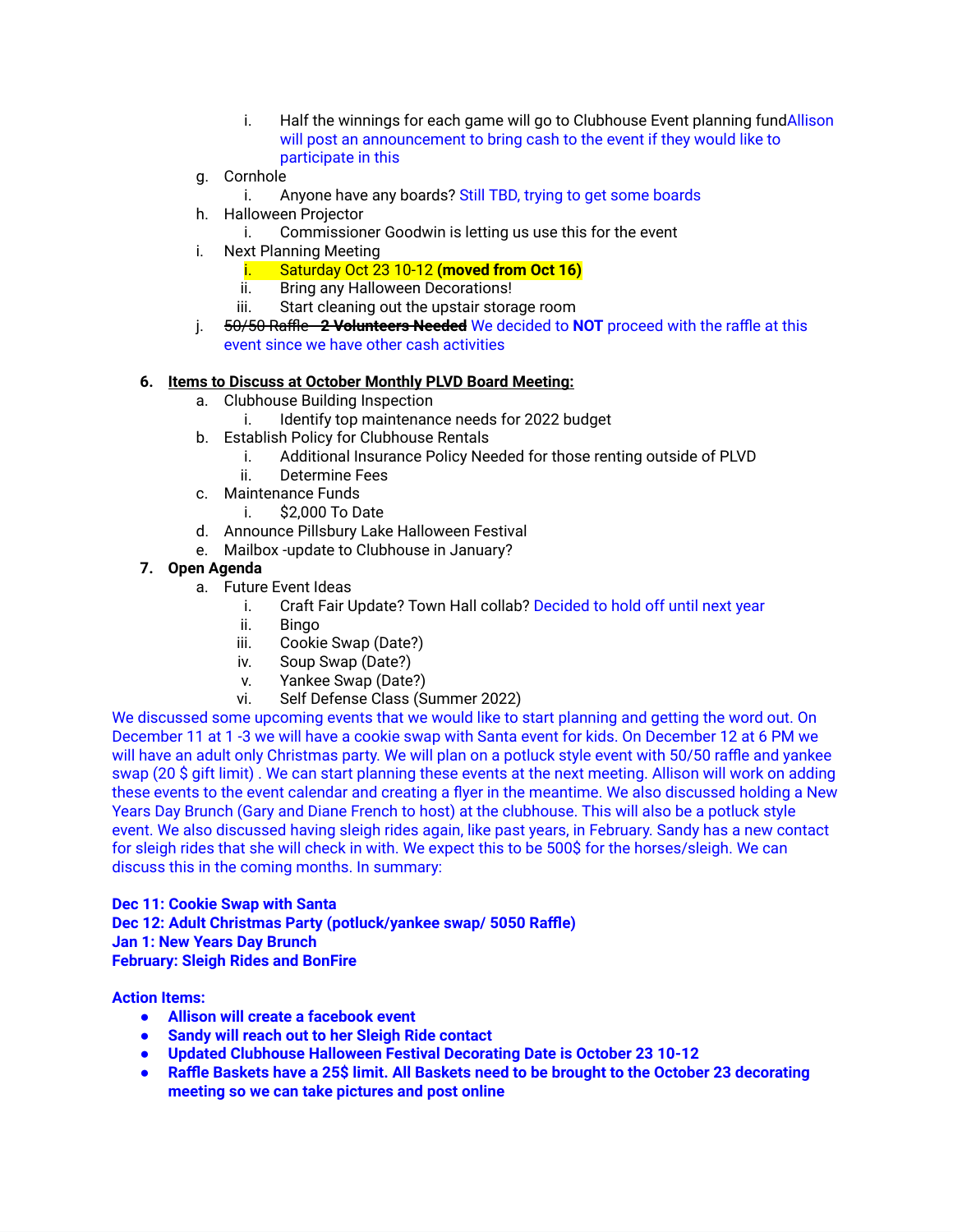- i. Half the winnings for each game will go to Clubhouse Event planning fundAllison will post an announcement to bring cash to the event if they would like to participate in this
- g. Cornhole
	- i. Anyone have any boards? Still TBD, trying to get some boards
- h. Halloween Projector
	- i. Commissioner Goodwin is letting us use this for the event
- i. Next Planning Meeting
	- i. Saturday Oct 23 10-12 **(moved from Oct 16)**
	- ii. Bring any Halloween Decorations!
	- iii. Start cleaning out the upstair storage room
- j. 50/50 Raffle **2 Volunteers Needed** We decided to **NOT** proceed with the raffle at this event since we have other cash activities

### **6. Items to Discuss at October Monthly PLVD Board Meeting:**

- a. Clubhouse Building Inspection
	- i. Identify top maintenance needs for 2022 budget
- b. Establish Policy for Clubhouse Rentals
	- i. Additional Insurance Policy Needed for those renting outside of PLVD
	- ii. Determine Fees
- c. Maintenance Funds
	- i. \$2,000 To Date
- d. Announce Pillsbury Lake Halloween Festival
- e. Mailbox -update to Clubhouse in January?

## **7. Open Agenda**

- a. Future Event Ideas
	- i. Craft Fair Update? Town Hall collab? Decided to hold off until next year
	- ii. Bingo
	- iii. Cookie Swap (Date?)
	- iv. Soup Swap (Date?)
	- v. Yankee Swap (Date?)
	- vi. Self Defense Class (Summer 2022)

We discussed some upcoming events that we would like to start planning and getting the word out. On December 11 at 1 -3 we will have a cookie swap with Santa event for kids. On December 12 at 6 PM we will have an adult only Christmas party. We will plan on a potluck style event with 50/50 raffle and yankee swap (20 \$ gift limit) . We can start planning these events at the next meeting. Allison will work on adding these events to the event calendar and creating a flyer in the meantime. We also discussed holding a New Years Day Brunch (Gary and Diane French to host) at the clubhouse. This will also be a potluck style event. We also discussed having sleigh rides again, like past years, in February. Sandy has a new contact for sleigh rides that she will check in with. We expect this to be 500\$ for the horses/sleigh. We can discuss this in the coming months. In summary:

**Dec 11: Cookie Swap with Santa Dec 12: Adult Christmas Party (potluck/yankee swap/ 5050 Raffle) Jan 1: New Years Day Brunch February: Sleigh Rides and BonFire**

### **Action Items:**

- **● Allison will create a facebook event**
- **● Sandy will reach out to her Sleigh Ride contact**
- **● Updated Clubhouse Halloween Festival Decorating Date is October 23 10-12**
- **● Raffle Baskets have a 25\$ limit. All Baskets need to be brought to the October 23 decorating meeting so we can take pictures and post online**